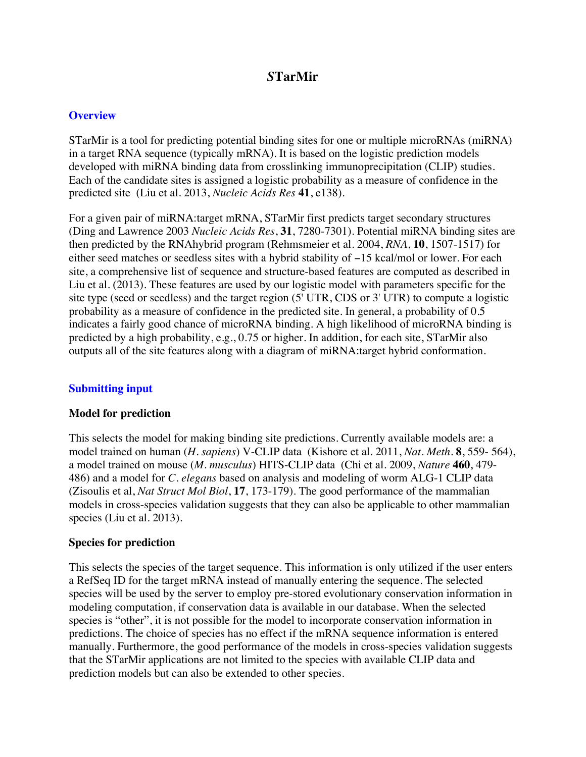# *S***TarMir**

#### **Overview**

STarMir is a tool for predicting potential binding sites for one or multiple microRNAs (miRNA) in a target RNA sequence (typically mRNA). It is based on the logistic prediction models developed with miRNA binding data from crosslinking immunoprecipitation (CLIP) studies. Each of the candidate sites is assigned a logistic probability as a measure of confidence in the predicted site (Liu et al. 2013, *Nucleic Acids Res* **41**, e138).

For a given pair of miRNA:target mRNA, STarMir first predicts target secondary structures (Ding and Lawrence 2003 *Nucleic Acids Res*, **31**, 7280-7301). Potential miRNA binding sites are then predicted by the RNAhybrid program (Rehmsmeier et al. 2004, *RNA*, **10**, 1507-1517) for either seed matches or seedless sites with a hybrid stability of −15 kcal/mol or lower. For each site, a comprehensive list of sequence and structure-based features are computed as described in Liu et al. (2013). These features are used by our logistic model with parameters specific for the site type (seed or seedless) and the target region (5' UTR, CDS or 3' UTR) to compute a logistic probability as a measure of confidence in the predicted site. In general, a probability of 0.5 indicates a fairly good chance of microRNA binding. A high likelihood of microRNA binding is predicted by a high probability, e.g., 0.75 or higher. In addition, for each site, STarMir also outputs all of the site features along with a diagram of miRNA:target hybrid conformation.

### **Submitting input**

### **Model for prediction**

This selects the model for making binding site predictions. Currently available models are: a model trained on human (*H. sapiens*) V-CLIP data (Kishore et al. 2011, *Nat. Meth.* **8**, 559- 564), a model trained on mouse (*M. musculus*) HITS-CLIP data (Chi et al. 2009, *Nature* **460**, 479- 486) and a model for *C. elegans* based on analysis and modeling of worm ALG-1 CLIP data (Zisoulis et al, *Nat Struct Mol Biol*, **17**, 173-179). The good performance of the mammalian models in cross-species validation suggests that they can also be applicable to other mammalian species (Liu et al. 2013).

### **Species for prediction**

This selects the species of the target sequence. This information is only utilized if the user enters a RefSeq ID for the target mRNA instead of manually entering the sequence. The selected species will be used by the server to employ pre-stored evolutionary conservation information in modeling computation, if conservation data is available in our database. When the selected species is "other", it is not possible for the model to incorporate conservation information in predictions. The choice of species has no effect if the mRNA sequence information is entered manually. Furthermore, the good performance of the models in cross-species validation suggests that the STarMir applications are not limited to the species with available CLIP data and prediction models but can also be extended to other species.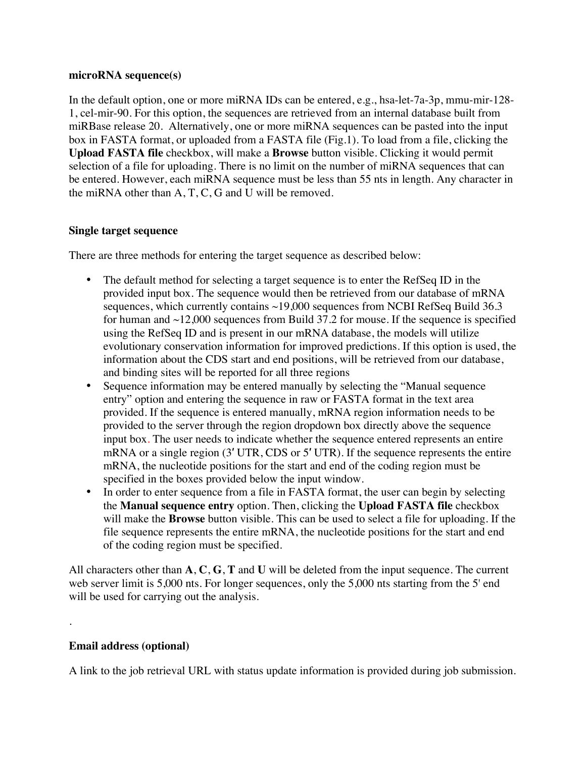#### **microRNA sequence(s)**

In the default option, one or more miRNA IDs can be entered, e.g., hsa-let-7a-3p, mmu-mir-128- 1, cel-mir-90. For this option, the sequences are retrieved from an internal database built from miRBase release 20. Alternatively, one or more miRNA sequences can be pasted into the input box in FASTA format, or uploaded from a FASTA file (Fig.1). To load from a file, clicking the **Upload FASTA file** checkbox, will make a **Browse** button visible. Clicking it would permit selection of a file for uploading. There is no limit on the number of miRNA sequences that can be entered. However, each miRNA sequence must be less than 55 nts in length. Any character in the miRNA other than A, T, C, G and U will be removed.

### **Single target sequence**

There are three methods for entering the target sequence as described below:

- The default method for selecting a target sequence is to enter the RefSeq ID in the provided input box. The sequence would then be retrieved from our database of mRNA sequences, which currently contains  $\sim$ 19,000 sequences from NCBI RefSeq Build 36.3 for human and  $\sim$ 12,000 sequences from Build 37.2 for mouse. If the sequence is specified using the RefSeq ID and is present in our mRNA database, the models will utilize evolutionary conservation information for improved predictions. If this option is used, the information about the CDS start and end positions, will be retrieved from our database, and binding sites will be reported for all three regions
- Sequence information may be entered manually by selecting the "Manual sequence" entry" option and entering the sequence in raw or FASTA format in the text area provided. If the sequence is entered manually, mRNA region information needs to be provided to the server through the region dropdown box directly above the sequence input box. The user needs to indicate whether the sequence entered represents an entire mRNA or a single region (3' UTR, CDS or 5' UTR). If the sequence represents the entire mRNA, the nucleotide positions for the start and end of the coding region must be specified in the boxes provided below the input window.
- In order to enter sequence from a file in FASTA format, the user can begin by selecting the **Manual sequence entry** option. Then, clicking the **Upload FASTA file** checkbox will make the **Browse** button visible. This can be used to select a file for uploading. If the file sequence represents the entire mRNA, the nucleotide positions for the start and end of the coding region must be specified.

All characters other than **A**, **C**, **G**, **T** and **U** will be deleted from the input sequence. The current web server limit is 5,000 nts. For longer sequences, only the 5,000 nts starting from the 5' end will be used for carrying out the analysis.

### **Email address (optional)**

.

A link to the job retrieval URL with status update information is provided during job submission.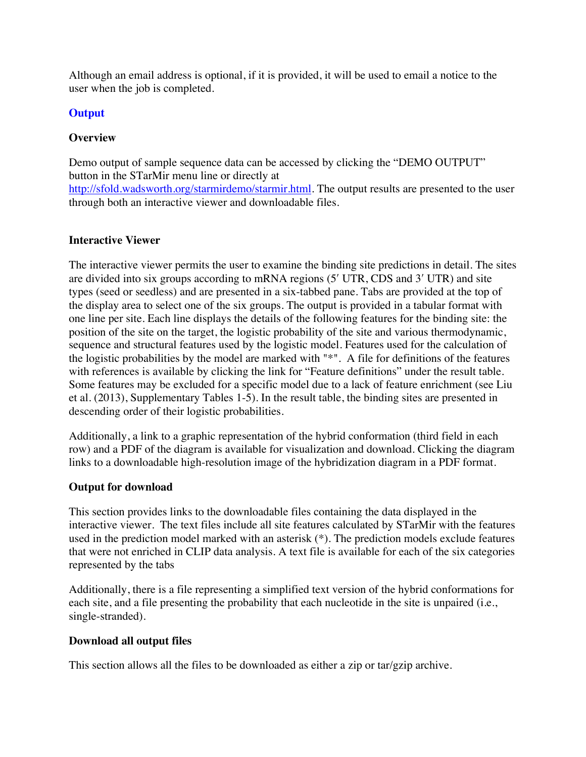Although an email address is optional, if it is provided, it will be used to email a notice to the user when the job is completed.

## **Output**

## **Overview**

Demo output of sample sequence data can be accessed by clicking the "DEMO OUTPUT" button in the STarMir menu line or directly at http://sfold.wadsworth.org/starmirdemo/starmir.html. The output results are presented to the user through both an interactive viewer and downloadable files.

## **Interactive Viewer**

The interactive viewer permits the user to examine the binding site predictions in detail. The sites are divided into six groups according to mRNA regions (5" UTR, CDS and 3" UTR) and site types (seed or seedless) and are presented in a six-tabbed pane. Tabs are provided at the top of the display area to select one of the six groups. The output is provided in a tabular format with one line per site. Each line displays the details of the following features for the binding site: the position of the site on the target, the logistic probability of the site and various thermodynamic, sequence and structural features used by the logistic model. Features used for the calculation of the logistic probabilities by the model are marked with "\*". A file for definitions of the features with references is available by clicking the link for "Feature definitions" under the result table. Some features may be excluded for a specific model due to a lack of feature enrichment (see Liu et al. (2013), Supplementary Tables 1-5). In the result table, the binding sites are presented in descending order of their logistic probabilities.

Additionally, a link to a graphic representation of the hybrid conformation (third field in each row) and a PDF of the diagram is available for visualization and download. Clicking the diagram links to a downloadable high-resolution image of the hybridization diagram in a PDF format.

### **Output for download**

This section provides links to the downloadable files containing the data displayed in the interactive viewer. The text files include all site features calculated by STarMir with the features used in the prediction model marked with an asterisk (\*). The prediction models exclude features that were not enriched in CLIP data analysis. A text file is available for each of the six categories represented by the tabs

Additionally, there is a file representing a simplified text version of the hybrid conformations for each site, and a file presenting the probability that each nucleotide in the site is unpaired (i.e., single-stranded).

### **Download all output files**

This section allows all the files to be downloaded as either a zip or tar/gzip archive.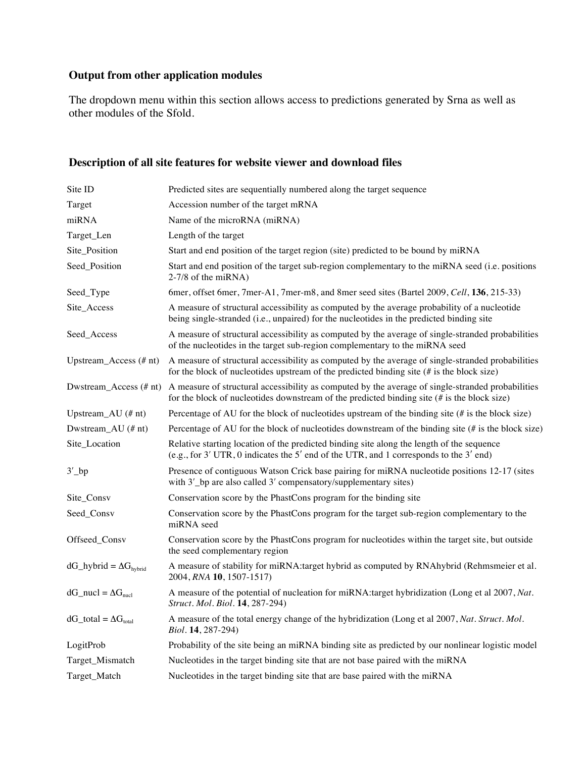#### **Output from other application modules**

The dropdown menu within this section allows access to predictions generated by Srna as well as other modules of the Sfold.

## Site ID Predicted sites are sequentially numbered along the target sequence Target Accession number of the target mRNA miRNA Name of the microRNA (miRNA) Target Len Length of the target Site\_Position Start and end position of the target region (site) predicted to be bound by miRNA Seed\_Position Start and end position of the target sub-region complementary to the miRNA seed (i.e. positions 2-7/8 of the miRNA) Seed\_Type 6mer, offset 6mer, 7mer-A1, 7mer-m8, and 8mer seed sites (Bartel 2009, *Cell*, **136**, 215-33) Site\_Access A measure of structural accessibility as computed by the average probability of a nucleotide being single-stranded (i.e., unpaired) for the nucleotides in the predicted binding site Seed\_Access A measure of structural accessibility as computed by the average of single-stranded probabilities of the nucleotides in the target sub-region complementary to the miRNA seed Upstream\_Access (*#* nt) A measure of structural accessibility as computed by the average of single-stranded probabilities for the block of nucleotides upstream of the predicted binding site (*#* is the block size) Dwstream\_Access (*#* nt) A measure of structural accessibility as computed by the average of single-stranded probabilities for the block of nucleotides downstream of the predicted binding site (*#* is the block size) Upstream\_AU (# nt) Percentage of AU for the block of nucleotides upstream of the binding site (# is the block size) Dwstream AU (*#* nt) Percentage of AU for the block of nucleotides downstream of the binding site (*#* is the block size) Site\_Location Relative starting location of the predicted binding site along the length of the sequence (e.g., for 3" UTR, 0 indicates the 5" end of the UTR, and 1 corresponds to the 3" end) 3"\_bp Presence of contiguous Watson Crick base pairing for miRNA nucleotide positions 12-17 (sites with 3'\_bp are also called 3' compensatory/supplementary sites) Site\_Consv Conservation score by the PhastCons program for the binding site Seed\_Consv Conservation score by the PhastCons program for the target sub-region complementary to the miRNA seed Offseed\_Consv Conservation score by the PhastCons program for nucleotides within the target site, but outside the seed complementary region  $dG_h$ ybrid =  $\Delta G_{hwhid}$  A measure of stability for miRNA:target hybrid as computed by RNAhybrid (Rehmsmeier et al. 2004, *RNA* **10**, 1507-1517)  $dG_{nucl} = \Delta G_{nucl}$  A measure of the potential of nucleation for miRNA:target hybridization (Long et al 2007, *Nat. Struct. Mol. Biol*. **14**, 287-294)  $dG_{total} = \Delta G_{total}$  A measure of the total energy change of the hybridization (Long et al 2007, *Nat. Struct. Mol. Biol.* **14**, 287-294) LogitProb Probability of the site being an miRNA binding site as predicted by our nonlinear logistic model Target\_Mismatch Nucleotides in the target binding site that are not base paired with the miRNA Target Match Nucleotides in the target binding site that are base paired with the miRNA

#### **Description of all site features for website viewer and download files**